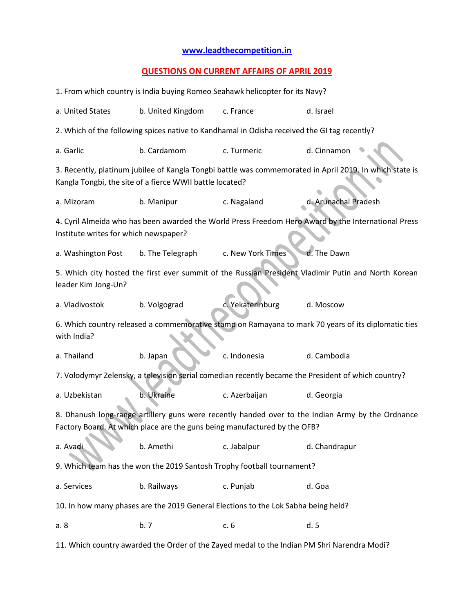## **[www.leadthecompetition.in](http://www.leadthecompetition.in/)**

## **QUESTIONS ON CURRENT AFFAIRS OF APRIL 2019**

| 1. From which country is India buying Romeo Seahawk helicopter for its Navy?                                                                                                   |                   |                   |                      |  |  |  |  |  |
|--------------------------------------------------------------------------------------------------------------------------------------------------------------------------------|-------------------|-------------------|----------------------|--|--|--|--|--|
| a. United States                                                                                                                                                               | b. United Kingdom | d. Israel         |                      |  |  |  |  |  |
| 2. Which of the following spices native to Kandhamal in Odisha received the GI tag recently?                                                                                   |                   |                   |                      |  |  |  |  |  |
| a. Garlic                                                                                                                                                                      | b. Cardamom       | c. Turmeric       | d. Cinnamon          |  |  |  |  |  |
| 3. Recently, platinum jubilee of Kangla Tongbi battle was commemorated in April 2019. In which state is<br>Kangla Tongbi, the site of a fierce WWII battle located?            |                   |                   |                      |  |  |  |  |  |
| a. Mizoram                                                                                                                                                                     | b. Manipur        | c. Nagaland       | d. Arunachal Pradesh |  |  |  |  |  |
| 4. Cyril Almeida who has been awarded the World Press Freedom Hero Award by the International Press<br>Institute writes for which newspaper?                                   |                   |                   |                      |  |  |  |  |  |
| a. Washington Post                                                                                                                                                             | b. The Telegraph  | c. New York Times | d. The Dawn          |  |  |  |  |  |
| 5. Which city hosted the first ever summit of the Russian President Vladimir Putin and North Korean<br>leader Kim Jong-Un?                                                     |                   |                   |                      |  |  |  |  |  |
| a. Vladivostok                                                                                                                                                                 | b. Volgograd      | c. Yekaterinburg  | d. Moscow            |  |  |  |  |  |
| 6. Which country released a commemorative stamp on Ramayana to mark 70 years of its diplomatic ties<br>with India?                                                             |                   |                   |                      |  |  |  |  |  |
| a. Thailand                                                                                                                                                                    | b. Japan          | c. Indonesia      | d. Cambodia          |  |  |  |  |  |
| 7. Volodymyr Zelensky, a television serial comedian recently became the President of which country?                                                                            |                   |                   |                      |  |  |  |  |  |
| a. Uzbekistan                                                                                                                                                                  | b. Ukraine        | c. Azerbaijan     | d. Georgia           |  |  |  |  |  |
| 8. Dhanush long-range artillery guns were recently handed over to the Indian Army by the Ordnance<br>Factory Board. At which place are the guns being manufactured by the OFB? |                   |                   |                      |  |  |  |  |  |
| a. Avadi                                                                                                                                                                       | b. Amethi         | c. Jabalpur       | d. Chandrapur        |  |  |  |  |  |
| 9. Which team has the won the 2019 Santosh Trophy football tournament?                                                                                                         |                   |                   |                      |  |  |  |  |  |
| a. Services                                                                                                                                                                    | b. Railways       | c. Punjab         | d. Goa               |  |  |  |  |  |
| 10. In how many phases are the 2019 General Elections to the Lok Sabha being held?                                                                                             |                   |                   |                      |  |  |  |  |  |
| a. 8                                                                                                                                                                           | b.7               | c. 6              | d.5                  |  |  |  |  |  |
| 11. Which country awarded the Order of the Zayed medal to the Indian PM Shri Narendra Modi?                                                                                    |                   |                   |                      |  |  |  |  |  |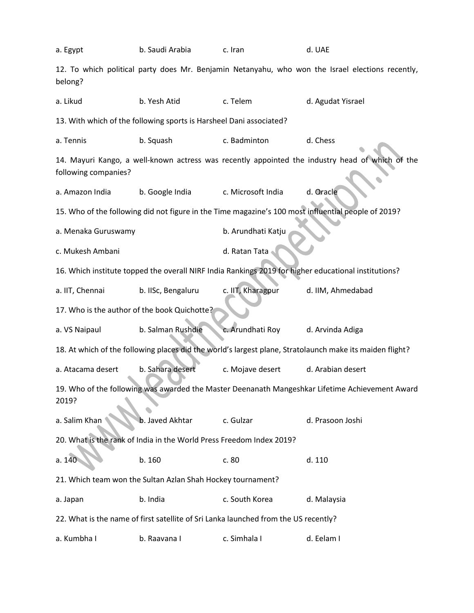| a. Egypt                                                                                                                | b. Saudi Arabia    | c. Iran            | d. UAE            |  |  |  |  |  |
|-------------------------------------------------------------------------------------------------------------------------|--------------------|--------------------|-------------------|--|--|--|--|--|
| 12. To which political party does Mr. Benjamin Netanyahu, who won the Israel elections recently,<br>belong?             |                    |                    |                   |  |  |  |  |  |
| a. Likud                                                                                                                | b. Yesh Atid       | c. Telem           | d. Agudat Yisrael |  |  |  |  |  |
| 13. With which of the following sports is Harsheel Dani associated?                                                     |                    |                    |                   |  |  |  |  |  |
| a. Tennis                                                                                                               | b. Squash          | c. Badminton       | d. Chess          |  |  |  |  |  |
| 14. Mayuri Kango, a well-known actress was recently appointed the industry head of which of the<br>following companies? |                    |                    |                   |  |  |  |  |  |
| a. Amazon India                                                                                                         | b. Google India    | c. Microsoft India | d. Oracle         |  |  |  |  |  |
| 15. Who of the following did not figure in the Time magazine's 100 most influential people of 2019?                     |                    |                    |                   |  |  |  |  |  |
| a. Menaka Guruswamy                                                                                                     |                    | b. Arundhati Katju |                   |  |  |  |  |  |
| c. Mukesh Ambani                                                                                                        |                    | d. Ratan Tata      |                   |  |  |  |  |  |
| 16. Which institute topped the overall NIRF India Rankings 2019 for higher educational institutions?                    |                    |                    |                   |  |  |  |  |  |
| a. IIT, Chennai                                                                                                         | b. IISc, Bengaluru | c. IIT, Kharagpur  | d. IIM, Ahmedabad |  |  |  |  |  |
| 17. Who is the author of the book Quichotte?                                                                            |                    |                    |                   |  |  |  |  |  |
| a. VS Naipaul                                                                                                           | b. Salman Rushdie  | c. Arundhati Roy   | d. Arvinda Adiga  |  |  |  |  |  |
| 18. At which of the following places did the world's largest plane, Stratolaunch make its maiden flight?                |                    |                    |                   |  |  |  |  |  |
| a. Atacama desert                                                                                                       | b. Sahara desert   | c. Mojave desert   | d. Arabian desert |  |  |  |  |  |
| 19. Who of the following was awarded the Master Deenanath Mangeshkar Lifetime Achievement Award<br>2019?                |                    |                    |                   |  |  |  |  |  |
| a. Salim Khan                                                                                                           | b. Javed Akhtar    | c. Gulzar          | d. Prasoon Joshi  |  |  |  |  |  |
| 20. What is the rank of India in the World Press Freedom Index 2019?                                                    |                    |                    |                   |  |  |  |  |  |
| a. 140                                                                                                                  | b. 160             | c. 80              | d. 110            |  |  |  |  |  |
| 21. Which team won the Sultan Azlan Shah Hockey tournament?                                                             |                    |                    |                   |  |  |  |  |  |
| a. Japan                                                                                                                | b. India           | c. South Korea     | d. Malaysia       |  |  |  |  |  |
| 22. What is the name of first satellite of Sri Lanka launched from the US recently?                                     |                    |                    |                   |  |  |  |  |  |
| a. Kumbha I                                                                                                             | b. Raavana I       | c. Simhala I       | d. Eelam I        |  |  |  |  |  |